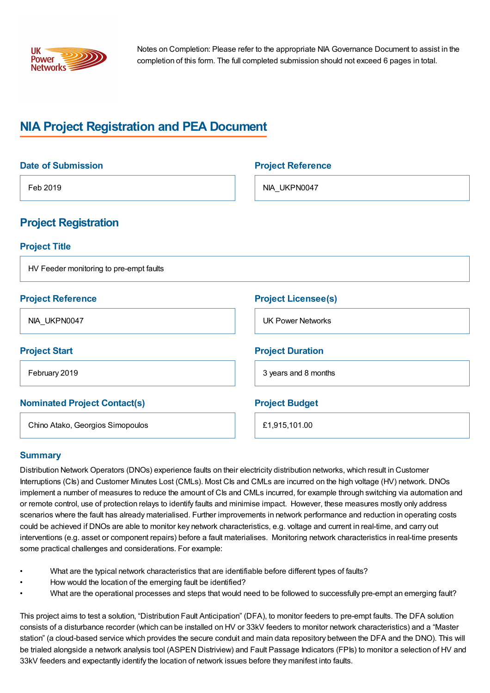

Notes on Completion: Please refer to the appropriate NIA Governance Document to assist in the completion of this form. The full completed submission should not exceed 6 pages in total.

# **NIA Project Registration and PEA Document**

| <b>Date of Submission</b>               | <b>Project Reference</b>   |
|-----------------------------------------|----------------------------|
| Feb 2019                                | NIA_UKPN0047               |
| <b>Project Registration</b>             |                            |
| <b>Project Title</b>                    |                            |
| HV Feeder monitoring to pre-empt faults |                            |
| <b>Project Reference</b>                | <b>Project Licensee(s)</b> |
| NIA_UKPN0047                            | <b>UK Power Networks</b>   |
| <b>Project Start</b>                    | <b>Project Duration</b>    |
| February 2019                           | 3 years and 8 months       |
| <b>Nominated Project Contact(s)</b>     | <b>Project Budget</b>      |
| Chino Atako, Georgios Simopoulos        | £1,915,101.00              |

### **Summary**

Distribution Network Operators (DNOs) experience faults on their electricity distribution networks, which result in Customer Interruptions (CIs) and Customer Minutes Lost (CMLs). Most CIs and CMLs are incurred on the high voltage (HV) network. DNOs implement a number of measures to reduce the amount of CIs and CMLs incurred, for example through switching via automation and or remote control, use of protection relays to identify faults and minimise impact. However, these measures mostly only address scenarios where the fault has already materialised. Further improvements in network performance and reduction in operating costs could be achieved if DNOs are able to monitor key network characteristics, e.g. voltage and current in real-time, and carry out interventions (e.g. asset or component repairs) before a fault materialises. Monitoring network characteristics in real-time presents some practical challenges and considerations. For example:

- What are the typical network characteristics that are identifiable before different types of faults?
- How would the location of the emerging fault be identified?
- What are the operational processes and steps that would need to be followed to successfully pre-empt an emerging fault?

This project aims to test a solution, "Distribution Fault Anticipation" (DFA), to monitor feeders to pre-empt faults. The DFA solution consists of a disturbance recorder (which can be installed on HV or 33kV feeders to monitor network characteristics) and a "Master station" (a cloud-based service which provides the secure conduit and main data repository between the DFA and the DNO). This will be trialed alongside a network analysis tool (ASPEN Distriview) and Fault Passage Indicators (FPIs) to monitor a selection of HV and 33kV feeders and expectantly identify the location of network issues before they manifest into faults.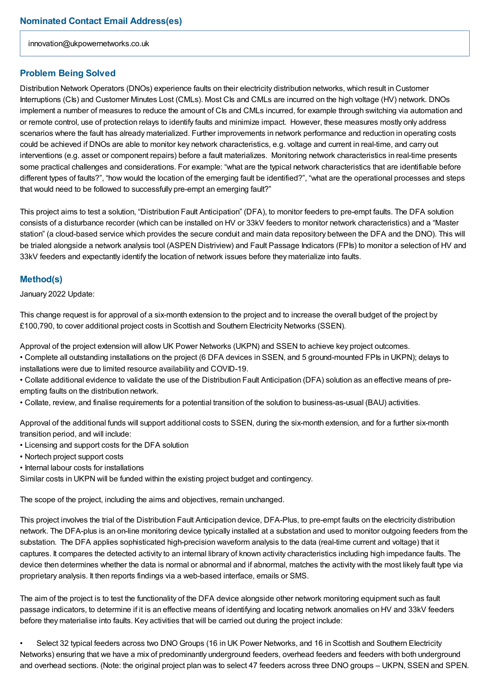innovation@ukpowernetworks.co.uk

#### **Problem Being Solved**

Distribution Network Operators (DNOs) experience faults on their electricity distribution networks, which result in Customer Interruptions (CIs) and Customer Minutes Lost (CMLs). Most CIs and CMLs are incurred on the high voltage (HV) network. DNOs implement a number of measures to reduce the amount of CIs and CMLs incurred, for example through switching via automation and or remote control, use of protection relays to identify faults and minimize impact. However, these measures mostly only address scenarios where the fault has already materialized. Further improvements in network performance and reduction in operating costs could be achieved if DNOs are able to monitor key network characteristics, e.g. voltage and current in real-time, and carry out interventions (e.g. asset or component repairs) before a fault materializes. Monitoring network characteristics in real-time presents some practical challenges and considerations. For example: "what are the typical network characteristics that are identifiable before different types of faults?", "how would the location of the emerging fault be identified?", "what are the operational processes and steps that would need to be followed to successfully pre-empt an emerging fault?"

This project aims to test a solution, "Distribution Fault Anticipation" (DFA), to monitor feeders to pre-empt faults. The DFA solution consists of a disturbance recorder (which can be installed on HV or 33kV feeders to monitor network characteristics) and a "Master station" (a cloud-based service which provides the secure conduit and main data repository between the DFA and the DNO). This will be trialed alongside a network analysis tool (ASPEN Distriview) and Fault Passage Indicators (FPIs) to monitor a selection of HV and 33kV feeders and expectantly identify the location of network issues before they materialize into faults.

#### **Method(s)**

January 2022 Update:

This change request is for approval of a six-month extension to the project and to increase the overall budget of the project by £100,790, to cover additional project costs in Scottish and Southern Electricity Networks (SSEN).

Approval of the project extension will allow UK Power Networks (UKPN) and SSEN to achieve key project outcomes.

• Complete all outstanding installations on the project (6 DFA devices in SSEN, and 5 ground-mounted FPIs in UKPN); delays to installations were due to limited resource availability and COVID-19.

• Collate additional evidence to validate the use of the Distribution Fault Anticipation (DFA) solution as an effective means of preempting faults on the distribution network.

• Collate, review, and finalise requirements for a potential transition of the solution to business-as-usual (BAU) activities.

Approval of the additional funds will support additional costs to SSEN, during the six-month extension, and for a further six-month transition period, and will include:

- Licensing and support costs for the DFA solution
- Nortech project support costs
- Internal labour costs for installations

Similar costs in UKPN will be funded within the existing project budget and contingency.

The scope of the project, including the aims and objectives, remain unchanged.

This project involves the trial of the Distribution Fault Anticipation device, DFA-Plus, to pre-empt faults on the electricity distribution network. The DFA-plus is an on-line monitoring device typically installed at a substation and used to monitor outgoing feeders from the substation. The DFA applies sophisticated high-precision waveform analysis to the data (real-time current and voltage) that it captures. It compares the detected activity to an internal library of known activity characteristics including high impedance faults. The device then determines whether the data is normal or abnormal and if abnormal, matches the activity with the most likely fault type via proprietary analysis. It then reports findings via a web-based interface, emails or SMS.

The aim of the project is to test the functionality of the DFA device alongside other network monitoring equipment such as fault passage indicators, to determine if it is an effective means of identifying and locating network anomalies on HV and 33kV feeders before they materialise into faults. Key activities that will be carried out during the project include:

• Select 32 typical feeders across two DNO Groups (16 in UK Power Networks, and 16 in Scottish and Southern Electricity Networks) ensuring that we have a mix of predominantly underground feeders, overhead feeders and feeders with both underground and overhead sections. (Note: the original project plan was to select 47 feeders across three DNO groups – UKPN, SSEN and SPEN.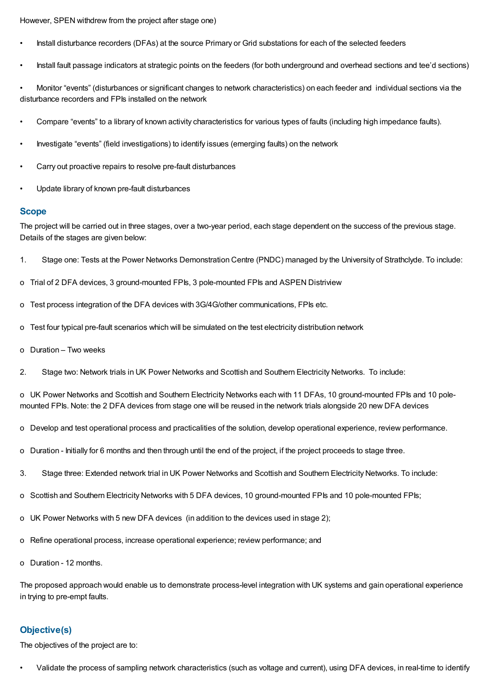However, SPEN withdrew from the project after stage one)

- Install disturbance recorders (DFAs) at the source Primary or Grid substations for each of the selected feeders
- Install fault passage indicators at strategic points on the feeders (for both underground and overhead sections and tee'd sections)

• Monitor "events" (disturbances or significant changes to network characteristics) on each feeder and individual sections via the disturbance recorders and FPIs installed on the network

- Compare "events" to a library of known activity characteristics for various types of faults (including high impedance faults).
- Investigate "events" (field investigations) to identify issues (emerging faults) on the network
- Carry out proactive repairs to resolve pre-fault disturbances
- Update library of known pre-fault disturbances

#### **Scope**

The project will be carried out in three stages, over a two-year period, each stage dependent on the success of the previous stage. Details of the stages are given below:

- 1. Stage one: Tests at the Power Networks Demonstration Centre (PNDC) managed by the University of Strathclyde. To include:
- o Trial of 2 DFA devices, 3 ground-mounted FPIs, 3 pole-mounted FPIs and ASPEN Distriview
- o Test process integration of the DFA devices with 3G/4G/other communications, FPIs etc.
- o Test four typical pre-fault scenarios which will be simulated on the test electricity distribution network
- o Duration Two weeks
- 2. Stage two: Network trials in UK Power Networks and Scottish and Southern Electricity Networks. To include:

o UK Power Networks and Scottish and Southern Electricity Networks each with 11 DFAs, 10 ground-mounted FPIs and 10 polemounted FPIs. Note: the 2 DFA devices from stage one will be reused in the network trials alongside 20 new DFA devices

- o Develop and test operational process and practicalities of the solution, develop operational experience, review performance.
- o Duration Initially for 6 months and then through until the end of the project, if the project proceeds to stage three.
- 3. Stage three: Extended network trial in UK Power Networks and Scottish and Southern Electricity Networks. To include:
- o Scottish and Southern Electricity Networks with 5 DFA devices, 10 ground-mounted FPIs and 10 pole-mounted FPIs;
- o UK Power Networks with 5 new DFA devices (in addition to the devices used in stage 2);
- o Refine operational process, increase operational experience; review performance; and
- o Duration 12 months.

The proposed approach would enable us to demonstrate process-level integration with UK systems and gain operational experience in trying to pre-empt faults.

### **Objective(s)**

The objectives of the project are to:

• Validate the process of sampling network characteristics (such as voltage and current), using DFA devices, in real-time to identify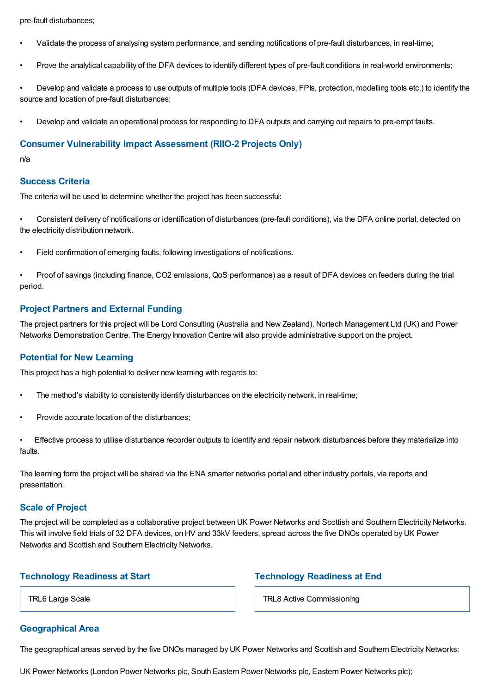pre-fault disturbances;

- Validate the process of analysing system performance, and sending notifications of pre-fault disturbances, in real-time;
- Prove the analytical capability of the DFA devices to identify different types of pre-fault conditions in real-world environments;

• Develop and validate a process to use outputs of multiple tools (DFA devices, FPIs, protection, modelling tools etc.) to identify the source and location of pre-fault disturbances;

• Develop and validate an operational process for responding to DFA outputs and carrying out repairs to pre-empt faults.

#### **Consumer Vulnerability Impact Assessment (RIIO-2 Projects Only)**

n/a

#### **Success Criteria**

The criteria will be used to determine whether the project has been successful:

• Consistent delivery of notifications or identification of disturbances (pre-fault conditions), via the DFA online portal, detected on the electricity distribution network.

• Field confirmation of emerging faults, following investigations of notifications.

• Proof of savings (including finance, CO2 emissions, QoS performance) as a result of DFA devices on feeders during the trial period.

#### **Project Partners and External Funding**

The project partners for this project will be Lord Consulting (Australia and New Zealand), Nortech Management Ltd (UK) and Power Networks Demonstration Centre. The Energy Innovation Centre will also provide administrative support on the project.

#### **Potential for New Learning**

This project has a high potential to deliver new learning with regards to:

- The method's viability to consistently identify disturbances on the electricity network, in real-time;
- Provide accurate location of the disturbances;
- Effective process to utilise disturbance recorder outputs to identify and repair network disturbances before they materialize into faults.

The learning form the project will be shared via the ENA smarter networks portal and other industry portals, via reports and presentation.

#### **Scale of Project**

The project will be completed as a collaborative project between UK Power Networks and Scottish and Southern Electricity Networks. This will involve field trials of 32 DFA devices, on HV and 33kV feeders, spread across the five DNOs operated by UK Power Networks and Scottish and Southern Electricity Networks.

#### **Technology Readiness at Start**

TRL6 Large Scale

#### **Geographical Area**

**Technology Readiness at End**

TRL8 Active Commissioning

The geographical areas served by the five DNOs managed by UK Power Networks and Scottish and Southern Electricity Networks:

UK Power Networks (London Power Networks plc, South Eastern Power Networks plc, Eastern Power Networks plc);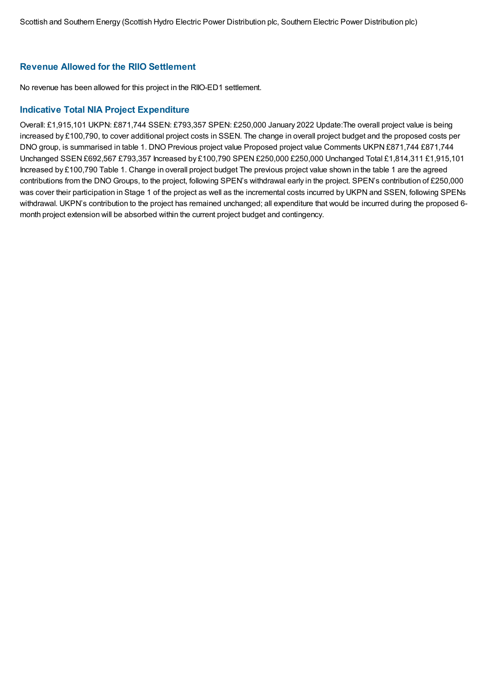### **Revenue Allowed for the RIIO Settlement**

No revenue has been allowed for this project in the RIIO-ED1 settlement.

### **Indicative Total NIA Project Expenditure**

Overall: £1,915,101 UKPN: £871,744 SSEN: £793,357 SPEN: £250,000 January 2022 Update:The overall project value is being increased by £100,790, to cover additional project costs in SSEN. The change in overall project budget and the proposed costs per DNO group, is summarised in table 1. DNO Previous project value Proposed project value Comments UKPN £871,744 £871,744 Unchanged SSEN £692,567 £793,357 Increased by £100,790 SPEN £250,000 £250,000 Unchanged Total £1,814,311 £1,915,101 Increased by £100,790 Table 1. Change in overall project budget The previous project value shown in the table 1 are the agreed contributions from the DNO Groups, to the project, following SPEN's withdrawal early in the project. SPEN's contribution of £250,000 was cover their participation in Stage 1 of the project as well as the incremental costs incurred by UKPN and SSEN, following SPENs withdrawal. UKPN's contribution to the project has remained unchanged; all expenditure that would be incurred during the proposed 6 month project extension will be absorbed within the current project budget and contingency.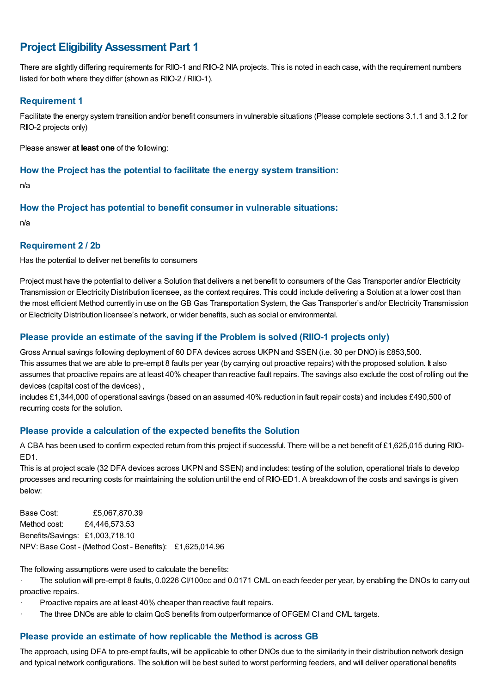## **Project EligibilityAssessment Part 1**

There are slightly differing requirements for RIIO-1 and RIIO-2 NIA projects. This is noted in each case, with the requirement numbers listed for both where they differ (shown as RIIO-2 / RIIO-1).

### **Requirement 1**

Facilitate the energy system transition and/or benefit consumers in vulnerable situations (Please complete sections 3.1.1 and 3.1.2 for RIIO-2 projects only)

Please answer **at least one** of the following:

#### **How the Project has the potential to facilitate the energy system transition:**

n/a

### **How the Project has potential to benefit consumer in vulnerable situations:**

n/a

#### **Requirement 2 / 2b**

Has the potential to deliver net benefits to consumers

Project must have the potential to deliver a Solution that delivers a net benefit to consumers of the Gas Transporter and/or Electricity Transmission or Electricity Distribution licensee, as the context requires. This could include delivering a Solution at a lower cost than the most efficient Method currently in use on the GB Gas Transportation System, the Gas Transporter's and/or Electricity Transmission or Electricity Distribution licensee's network, or wider benefits, such as social or environmental.

### **Please provide an estimate of the saving if the Problem is solved (RIIO-1 projects only)**

Gross Annual savings following deployment of 60 DFA devices across UKPN and SSEN (i.e. 30 per DNO) is £853,500. This assumes that we are able to pre-empt 8 faults per year (by carrying out proactive repairs) with the proposed solution. It also assumes that proactive repairs are at least 40% cheaper than reactive fault repairs. The savings also exclude the cost of rolling out the devices (capital cost of the devices) ,

includes £1,344,000 of operational savings (based on an assumed 40% reduction in fault repair costs) and includes £490,500 of recurring costs for the solution.

### **Please provide a calculation of the expected benefits the Solution**

A CBA has been used to confirm expected return from this project if successful. There will be a net benefit of £1,625,015 during RIIO-ED1.

This is at project scale (32 DFA devices across UKPN and SSEN) and includes: testing of the solution, operational trials to develop processes and recurring costs for maintaining the solution until the end of RIIO-ED1. A breakdown of the costs and savings is given below:

Base Cost: £5,067,870.39 Method cost: £4,446,573.53 Benefits/Savings: £1,003,718.10 NPV: Base Cost - (Method Cost - Benefits): £1,625,014.96

The following assumptions were used to calculate the benefits:

The solution will pre-empt 8 faults, 0.0226 CV100cc and 0.0171 CML on each feeder per year, by enabling the DNOs to carry out proactive repairs.

- · Proactive repairs are at least 40% cheaper than reactive fault repairs.
- The three DNOs are able to claim QoS benefits from outperformance of OFGEM CI and CML targets.

### **Please provide an estimate of how replicable the Method is across GB**

The approach, using DFA to pre-empt faults, will be applicable to other DNOs due to the similarity in their distribution network design and typical network configurations. The solution will be best suited to worst performing feeders, and will deliver operational benefits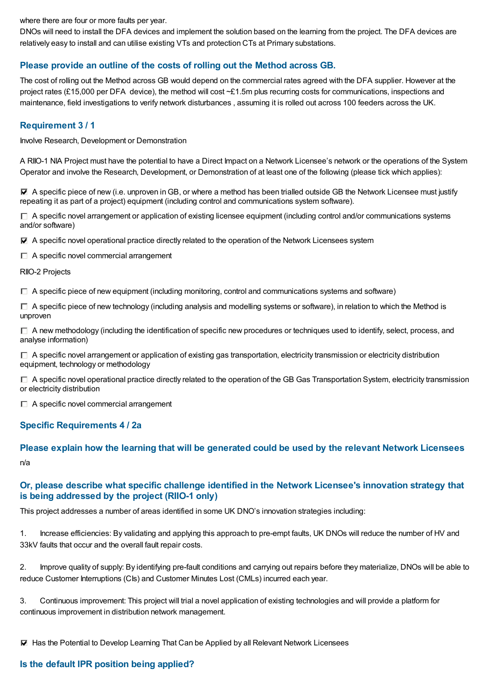where there are four or more faults per year.

DNOs will need to install the DFA devices and implement the solution based on the learning from the project. The DFA devices are relatively easy to install and can utilise existing VTs and protection CTs at Primary substations.

### **Please provide an outline of the costs of rolling out the Method across GB.**

The cost of rolling out the Method across GB would depend on the commercial rates agreed with the DFA supplier. However at the project rates (£15,000 per DFA device), the method will cost ~£1.5m plus recurring costs for communications, inspections and maintenance, field investigations to verify network disturbances , assuming it is rolled out across 100 feeders across the UK.

#### **Requirement 3 / 1**

Involve Research, Development or Demonstration

A RIIO-1 NIA Project must have the potential to have a Direct Impact on a Network Licensee's network or the operations of the System Operator and involve the Research, Development, or Demonstration of at least one of the following (please tick which applies):

 $\blacktriangledown$  A specific piece of new (i.e. unproven in GB, or where a method has been trialled outside GB the Network Licensee must justify repeating it as part of a project) equipment (including control and communications system software).

 $\Box$  A specific novel arrangement or application of existing licensee equipment (including control and/or communications systems and/or software)

 $\blacktriangledown$  A specific novel operational practice directly related to the operation of the Network Licensees system

 $\Box$  A specific novel commercial arrangement

RIIO-2 Projects

 $\Box$  A specific piece of new equipment (including monitoring, control and communications systems and software)

 $\Box$  A specific piece of new technology (including analysis and modelling systems or software), in relation to which the Method is unproven

 $\Box$  A new methodology (including the identification of specific new procedures or techniques used to identify, select, process, and analyse information)

 $\Box$  A specific novel arrangement or application of existing gas transportation, electricity transmission or electricity distribution equipment, technology or methodology

 $\Box$  A specific novel operational practice directly related to the operation of the GB Gas Transportation System, electricity transmission or electricity distribution

 $\Box$  A specific novel commercial arrangement

### **Specific Requirements 4 / 2a**

### **Please explain how the learning that will be generated could be used by the relevant Network Licensees** n/a

### **Or, please describe what specific challenge identified in the Network Licensee's innovation strategy that is being addressed by the project (RIIO-1 only)**

This project addresses a number of areas identified in some UK DNO's innovation strategies including:

1. Increase efficiencies: By validating and applying this approach to pre-empt faults, UK DNOs will reduce the number of HV and 33kV faults that occur and the overall fault repair costs.

2. Improve quality of supply: By identifying pre-fault conditions and carrying out repairs before they materialize, DNOs will be able to reduce Customer Interruptions (CIs) and Customer Minutes Lost (CMLs) incurred each year.

3. Continuous improvement: This project will trial a novel application of existing technologies and will provide a platform for continuous improvement in distribution network management.

 $⊓$  Has the Potential to Develop Learning That Can be Applied by all Relevant Network Licensees

### **Is the default IPR position being applied?**